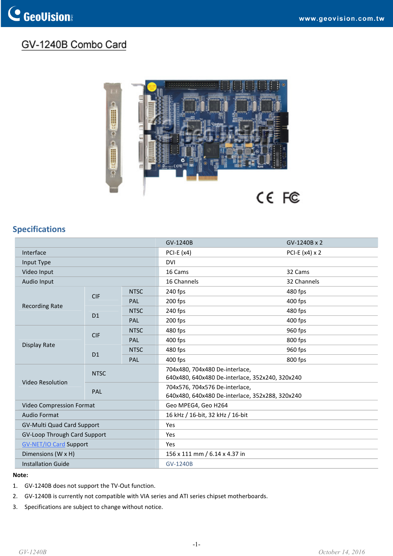## GV-1240B Combo Card



## **Specifications**

|                                   |                |             | GV-1240B                                                                          | GV-1240B x 2          |
|-----------------------------------|----------------|-------------|-----------------------------------------------------------------------------------|-----------------------|
| Interface                         |                |             | PCI-E $(x4)$                                                                      | PCI-E $(x4) \times 2$ |
| Input Type                        |                |             | <b>DVI</b>                                                                        |                       |
| Video Input                       |                |             | 16 Cams                                                                           | 32 Cams               |
| Audio Input                       |                |             | 16 Channels                                                                       | 32 Channels           |
| <b>Recording Rate</b>             | <b>CIF</b>     | <b>NTSC</b> | 240 fps                                                                           | 480 fps               |
|                                   |                | PAL         | 200 fps                                                                           | $400$ fps             |
|                                   | D <sub>1</sub> | <b>NTSC</b> | 240 fps                                                                           | 480 fps               |
|                                   |                | PAL         | 200 fps                                                                           | 400 fps               |
| Display Rate                      | <b>CIF</b>     | <b>NTSC</b> | 480 fps                                                                           | 960 fps               |
|                                   |                | PAL         | 400 fps                                                                           | 800 fps               |
|                                   | D1             | <b>NTSC</b> | 480 fps                                                                           | 960 fps               |
|                                   |                | PAL         | 400 fps                                                                           | 800 fps               |
| Video Resolution                  | <b>NTSC</b>    |             | 704x480, 704x480 De-interlace,<br>640x480, 640x480 De-interlace, 352x240, 320x240 |                       |
|                                   | PAL            |             | 704x576, 704x576 De-interlace,<br>640x480, 640x480 De-interlace, 352x288, 320x240 |                       |
| Video Compression Format          |                |             | Geo MPEG4, Geo H264                                                               |                       |
| <b>Audio Format</b>               |                |             | 16 kHz / 16-bit, 32 kHz / 16-bit                                                  |                       |
| <b>GV-Multi Quad Card Support</b> |                |             | Yes                                                                               |                       |
| GV-Loop Through Card Support      |                |             | Yes                                                                               |                       |
| <b>GV-NET/IO Card Support</b>     |                |             | Yes                                                                               |                       |
| Dimensions (W x H)                |                |             | 156 x 111 mm / 6.14 x 4.37 in                                                     |                       |
| <b>Installation Guide</b>         |                |             | <b>GV-1240B</b>                                                                   |                       |

## **Note:**

- 1. GV‐1240B does not support the TV‐Out function.
- 2. GV-1240B is currently not compatible with VIA series and ATI series chipset motherboards.
- 3. Specifications are subject to change without notice.